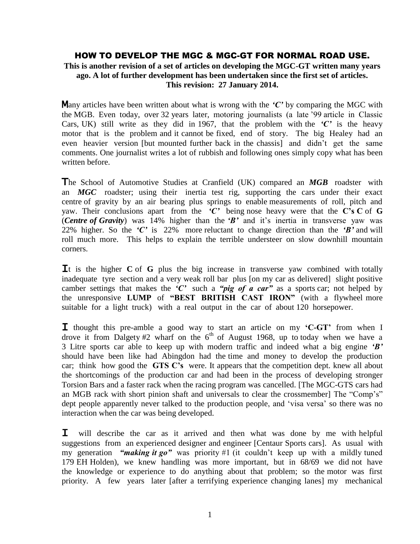#### HOW TO DEVELOP THE MGC & MGC-GT FOR NORMAL ROAD USE.

**This is another revision of a set of articles on developing the MGC-GT written many years ago. A lot of further development has been undertaken since the first set of articles. This revision: 27 January 2014.**

Many articles have been written about what is wrong with the *'C'* by comparing the MGC with the MGB. Even today, over 32 years later, motoring journalists (a late '99 article in Classic Cars, UK) still write as they did in 1967, that the problem with the *'C'* is the heavy motor that is the problem and it cannot be fixed, end of story. The big Healey had an even heavier version [but mounted further back in the chassis] and didn't get the same comments. One journalist writes a lot of rubbish and following ones simply copy what has been written before.

The School of Automotive Studies at Cranfield (UK) compared an *MGB* roadster with an *MGC* roadster; using their inertia test rig, supporting the cars under their exact centre of gravity by an air bearing plus springs to enable measurements of roll, pitch and yaw. Their conclusions apart from the *'C'* being nose heavy were that the **C's C** of **G** (*Centre of Gravity*) was 14% higher than the *'B'* and it's inertia in transverse yaw was 22% higher. So the *'C'* is 22% more reluctant to change direction than the *'B'* and will roll much more. This helps to explain the terrible understeer on slow downhill mountain corners.

It is the higher **C** of **G** plus the big increase in transverse yaw combined with totally inadequate tyre section and a very weak roll bar plus [on my car as delivered] slight positive camber settings that makes the *'C'* such a *"pig of a car"* as a sports car; not helped by the unresponsive **LUMP** of **"BEST BRITISH CAST IRON"** (with a flywheel more suitable for a light truck) with a real output in the car of about 120 horsepower.

I thought this pre-amble a good way to start an article on my **'C-GT'** from when I drove it from Dalgety #2 wharf on the  $6<sup>th</sup>$  of August 1968, up to today when we have a 3 Litre sports car able to keep up with modern traffic and indeed what a big engine *'B'*  should have been like had Abingdon had the time and money to develop the production car; think how good the **GTS C's** were. It appears that the competition dept. knew all about the shortcomings of the production car and had been in the process of developing stronger Torsion Bars and a faster rack when the racing program was cancelled. [The MGC-GTS cars had an MGB rack with short pinion shaft and universals to clear the crossmember] The "Comp's" dept people apparently never talked to the production people, and 'visa versa' so there was no interaction when the car was being developed.

I will describe the car as it arrived and then what was done by me with helpful suggestions from an experienced designer and engineer [Centaur Sports cars]. As usual with my generation *"making it go"* was priority #1 (it couldn't keep up with a mildly tuned 179 EH Holden), we knew handling was more important, but in 68/69 we did not have the knowledge or experience to do anything about that problem; so the motor was first priority. A few years later [after a terrifying experience changing lanes] my mechanical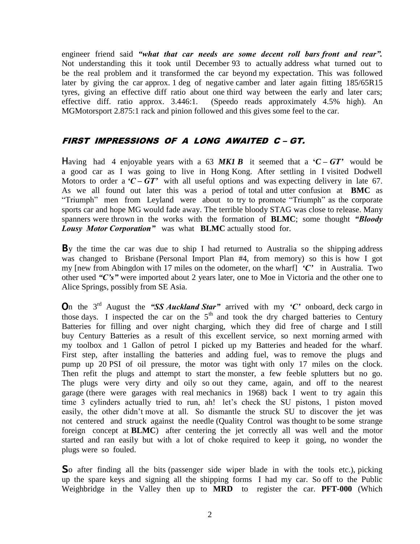engineer friend said *"what that car needs are some decent roll bars front and rear".* Not understanding this it took until December 93 to actually address what turned out to be the real problem and it transformed the car beyond my expectation. This was followed later by giving the car approx. 1 deg of negative camber and later again fitting 185/65R15 tyres, giving an effective diff ratio about one third way between the early and later cars; effective diff. ratio approx. 3.446:1. (Speedo reads approximately 4.5% high). An MGMotorsport 2.875:1 rack and pinion followed and this gives some feel to the car.

### FIRST IMPRESSIONS OF A LONG AWAITED C – GT.

Having had 4 enjoyable years with a 63 MKI B it seemed that a  $\mathcal{C} - GT'$  would be a good car as I was going to live in Hong Kong. After settling in I visited Dodwell Motors to order a  $C - GT'$  with all useful options and was expecting delivery in late 67. As we all found out later this was a period of total and utter confusion at **BMC** as "Triumph" men from Leyland were about to try to promote "Triumph" as the corporate sports car and hope MG would fade away. The terrible bloody STAG was close to release. Many spanners were thrown in the works with the formation of **BLMC**; some thought *"Bloody Lousy Motor Corporation"* was what **BLMC** actually stood for.

By the time the car was due to ship I had returned to Australia so the shipping address was changed to Brisbane (Personal Import Plan #4, from memory) so this is how I got my [new from Abingdon with 17 miles on the odometer, on the wharf] *'C'* in Australia. Two other used *"C's"* were imported about 2 years later, one to Moe in Victoria and the other one to Alice Springs, possibly from SE Asia.

On the 3<sup>rd</sup> August the "SS *Auckland Star"* arrived with my 'C' onboard, deck cargo in those days. I inspected the car on the  $5<sup>th</sup>$  and took the dry charged batteries to Century Batteries for filling and over night charging, which they did free of charge and I still buy Century Batteries as a result of this excellent service, so next morning armed with my toolbox and 1 Gallon of petrol I picked up my Batteries and headed for the wharf. First step, after installing the batteries and adding fuel, was to remove the plugs and pump up 20 PSI of oil pressure, the motor was tight with only 17 miles on the clock. Then refit the plugs and attempt to start the monster, a few feeble splutters but no go. The plugs were very dirty and oily so out they came, again, and off to the nearest garage (there were garages with real mechanics in 1968) back I went to try again this time 3 cylinders actually tried to run, ah! let's check the SU pistons, 1 piston moved easily, the other didn't move at all. So dismantle the struck SU to discover the jet was not centered and struck against the needle (Quality Control was thought to be some strange foreign concept at **BLMC**) after centering the jet correctly all was well and the motor started and ran easily but with a lot of choke required to keep it going, no wonder the plugs were so fouled.

So after finding all the bits (passenger side wiper blade in with the tools etc.), picking up the spare keys and signing all the shipping forms I had my car. So off to the Public Weighbridge in the Valley then up to **MRD** to register the car. **PFT-000** (Which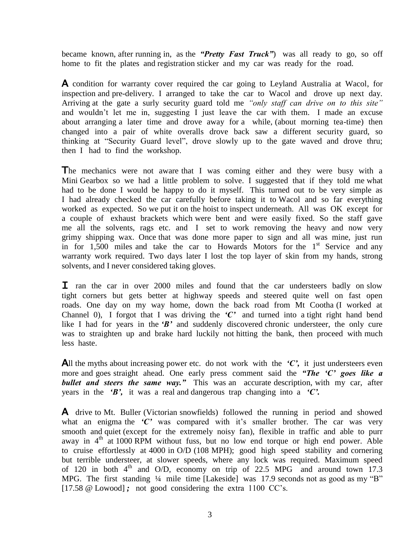became known, after running in, as the *"Pretty Fast Truck"*) was all ready to go, so off home to fit the plates and registration sticker and my car was ready for the road.

A condition for warranty cover required the car going to Leyland Australia at Wacol, for inspection and pre-delivery. I arranged to take the car to Wacol and drove up next day. Arriving at the gate a surly security guard told me *"only staff can drive on to this site"*  and wouldn't let me in, suggesting I just leave the car with them. I made an excuse about arranging a later time and drove away for a while, (about morning tea-time) then changed into a pair of white overalls drove back saw a different security guard, so thinking at "Security Guard level", drove slowly up to the gate waved and drove thru; then I had to find the workshop.

The mechanics were not aware that I was coming either and they were busy with a Mini Gearbox so we had a little problem to solve. I suggested that if they told me what had to be done I would be happy to do it myself. This turned out to be very simple as I had already checked the car carefully before taking it to Wacol and so far everything worked as expected. So we put it on the hoist to inspect underneath. All was OK except for a couple of exhaust brackets which were bent and were easily fixed. So the staff gave me all the solvents, rags etc. and I set to work removing the heavy and now very grimy shipping wax. Once that was done more paper to sign and all was mine, just run in for  $1,500$  miles and take the car to Howards Motors for the  $1<sup>st</sup>$  Service and any warranty work required. Two days later I lost the top layer of skin from my hands, strong solvents, and I never considered taking gloves.

I ran the car in over 2000 miles and found that the car understeers badly on slow tight corners but gets better at highway speeds and steered quite well on fast open roads. One day on my way home, down the back road from Mt Cootha (I worked at Channel 0), I forgot that I was driving the  $C<sup>2</sup>$  and turned into a tight right hand bend like I had for years in the 'B' and suddenly discovered chronic understeer, the only cure was to straighten up and brake hard luckily not hitting the bank, then proceed with much less haste.

All the myths about increasing power etc. do not work with the *'C'*, it just understeers even more and goes straight ahead. One early press comment said the *"The 'C' goes like a bullet and steers the same way."* This was an accurate description, with my car, after years in the *'B',* it was a real and dangerous trap changing into a *'C'.* 

A drive to Mt. Buller (Victorian snowfields) followed the running in period and showed what an enigma the *'C'* was compared with it's smaller brother. The car was very smooth and quiet (except for the extremely noisy fan), flexible in traffic and able to purr away in  $4<sup>th</sup>$  at 1000 RPM without fuss, but no low end torque or high end power. Able to cruise effortlessly at 4000 in O/D (108 MPH); good high speed stability and cornering but terrible understeer, at slower speeds, where any lock was required. Maximum speed of 120 in both  $4<sup>th</sup>$  and O/D, economy on trip of 22.5 MPG and around town 17.3 MPG. The first standing ¼ mile time [Lakeside] was 17.9 seconds not as good as my "B" [17.58 @ Lowood]; not good considering the extra 1100 CC's.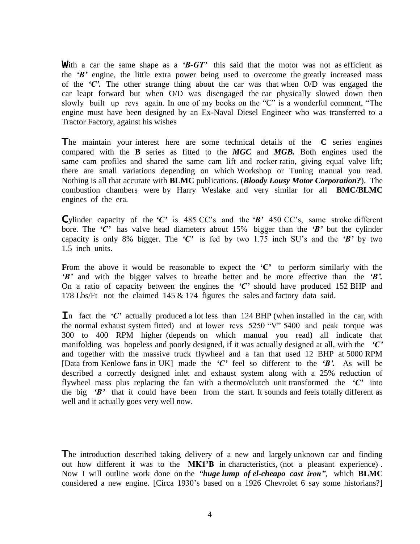With a car the same shape as a 'B-GT' this said that the motor was not as efficient as the *'B'* engine, the little extra power being used to overcome the greatly increased mass of the *'C'.* The other strange thing about the car was that when O/D was engaged the car leapt forward but when O/D was disengaged the car physically slowed down then slowly built up revs again. In one of my books on the "C" is a wonderful comment, "The engine must have been designed by an Ex-Naval Diesel Engineer who was transferred to a Tractor Factory, against his wishes

The maintain your interest here are some technical details of the **C** series engines compared with the **B** series as fitted to the *MGC* and *MGB.* Both engines used the same cam profiles and shared the same cam lift and rocker ratio, giving equal valve lift; there are small variations depending on which Workshop or Tuning manual you read. Nothing is all that accurate with **BLMC** publications. (*Bloody Lousy Motor Corporation?*). The combustion chambers were by Harry Weslake and very similar for all **BMC/BLMC**  engines of the era.

Cylinder capacity of the *'C'* is 485 CC's and the *'B'* 450 CC's, same stroke different bore. The *'C'* has valve head diameters about 15% bigger than the *'B'* but the cylinder capacity is only 8% bigger. The *'C'* is fed by two 1.75 inch SU's and the *'B'* by two 1.5 inch units.

**F**rom the above it would be reasonable to expect the **'C'** to perform similarly with the *'B'* and with the bigger valves to breathe better and be more effective than the *'B'.*  On a ratio of capacity between the engines the *'C'* should have produced 152 BHP and 178 Lbs/Ft not the claimed 145 & 174 figures the sales and factory data said.

In fact the  $\mathcal{C}'$  actually produced a lot less than 124 BHP (when installed in the car, with the normal exhaust system fitted) and at lower revs 5250 "V" 5400 and peak torque was 300 to 400 RPM higher (depends on which manual you read) all indicate that manifolding was hopeless and poorly designed, if it was actually designed at all, with the *'C'* and together with the massive truck flywheel and a fan that used 12 BHP at 5000 RPM [Data from Kenlowe fans in UK] made the *'C'* feel so different to the *'B'.* As will be described a correctly designed inlet and exhaust system along with a 25% reduction of flywheel mass plus replacing the fan with a thermo/clutch unit transformed the *'C'* into the big *'B'* that it could have been from the start. It sounds and feels totally different as well and it actually goes very well now.

The introduction described taking delivery of a new and largely unknown car and finding out how different it was to the **MK1'B** in characteristics, (not a pleasant experience) . Now I will outline work done on the *"huge lump of el-cheapo cast iron"*, which **BLMC** considered a new engine. [Circa 1930's based on a 1926 Chevrolet 6 say some historians?]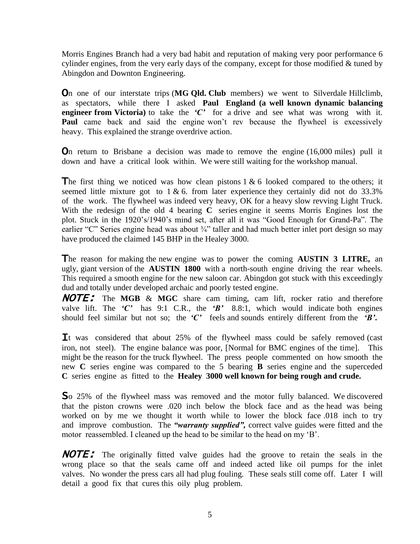Morris Engines Branch had a very bad habit and reputation of making very poor performance 6 cylinder engines, from the very early days of the company, except for those modified  $\&$  tuned by Abingdon and Downton Engineering.

On one of our interstate trips (**MG Qld. Club** members) we went to Silverdale Hillclimb, as spectators, while there I asked **Paul England (a well known dynamic balancing engineer from Victoria**) to take the 'C' for a drive and see what was wrong with it. **Paul** came back and said the engine won't rev because the flywheel is excessively heavy. This explained the strange overdrive action.

On return to Brisbane a decision was made to remove the engine (16,000 miles) pull it down and have a critical look within. We were still waiting for the workshop manual.

The first thing we noticed was how clean pistons  $1 \& 6$  looked compared to the others; it seemed little mixture got to  $1 \& 6$ . from later experience they certainly did not do 33.3% of the work. The flywheel was indeed very heavy, OK for a heavy slow revving Light Truck. With the redesign of the old 4 bearing **C** series engine it seems Morris Engines lost the plot. Stuck in the 1920's/1940's mind set, after all it was "Good Enough for Grand-Pa". The earlier "C" Series engine head was about  $\frac{3}{4}$ " taller and had much better inlet port design so may have produced the claimed 145 BHP in the Healey 3000.

The reason for making the new engine was to power the coming **AUSTIN 3 LITRE,** an ugly, giant version of the **AUSTIN 1800** with a north-south engine driving the rear wheels. This required a smooth engine for the new saloon car. Abingdon got stuck with this exceedingly dud and totally under developed archaic and poorly tested engine.

NOTE: The **MGB** & **MGC** share cam timing, cam lift, rocker ratio and therefore valve lift. The  $'C'$  has 9:1 C.R., the  $'B'$  8.8:1, which would indicate both engines should feel similar but not so; the *'C'* feels and sounds entirely different from the *'B'***.** 

It was considered that about 25% of the flywheel mass could be safely removed (cast iron, not steel). The engine balance was poor, [Normal for BMC engines of the time]. This might be the reason for the truck flywheel. The press people commented on how smooth the new **C** series engine was compared to the 5 bearing **B** series engine and the superceded **C** series engine as fitted to the **Healey 3000 well known for being rough and crude.**

So 25% of the flywheel mass was removed and the motor fully balanced. We discovered that the piston crowns were .020 inch below the block face and as the head was being worked on by me we thought it worth while to lower the block face .018 inch to try and improve combustion. The *"warranty supplied",* correct valve guides were fitted and the motor reassembled. I cleaned up the head to be similar to the head on my 'B'.

NOTE: The originally fitted valve guides had the groove to retain the seals in the wrong place so that the seals came off and indeed acted like oil pumps for the inlet valves. No wonder the press cars all had plug fouling. These seals still come off. Later I will detail a good fix that cures this oily plug problem.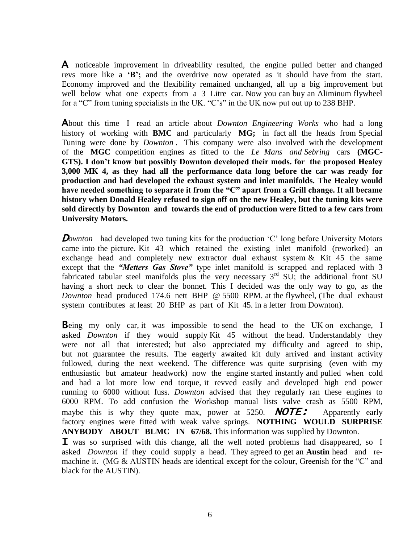A noticeable improvement in driveability resulted, the engine pulled better and changed revs more like a **'B';** and the overdrive now operated as it should have from the start. Economy improved and the flexibility remained unchanged, all up a big improvement but well below what one expects from a 3 Litre car. Now you can buy an Aliminum flywheel for a "C" from tuning specialists in the UK. "C's" in the UK now put out up to 238 BHP.

About this time I read an article about *Downton Engineering Works* who had a long history of working with **BMC** and particularly **MG;** in fact all the heads from Special Tuning were done by *Downton .* This company were also involved with the development of the **MGC** competition engines as fitted to the *Le Mans and Sebring* cars **(MGC-GTS). I don't know but possibly Downton developed their mods. for the proposed Healey 3,000 MK 4, as they had all the performance data long before the car was ready for production and had developed the exhaust system and inlet manifolds. The Healey would have needed something to separate it from the "C" apart from a Grill change. It all became history when Donald Healey refused to sign off on the new Healey, but the tuning kits were sold directly by Downton and towards the end of production were fitted to a few cars from University Motors.**

**D**ownton had developed two tuning kits for the production 'C' long before University Motors came into the picture. Kit 43 which retained the existing inlet manifold (reworked) an exchange head and completely new extractor dual exhaust system  $& Kit 45$  the same except that the *"Metters Gas Stove"* type inlet manifold is scrapped and replaced with 3 fabricated tabular steel manifolds plus the very necessary  $3<sup>rd</sup>$  SU; the additional front SU having a short neck to clear the bonnet. This I decided was the only way to go, as the *Downton* head produced 174.6 nett BHP @ 5500 RPM. at the flywheel, (The dual exhaust system contributes at least 20 BHP as part of Kit 45. in a letter from Downton).

Being my only car, it was impossible to send the head to the UK on exchange, I asked *Downton* if they would supply Kit 45 without the head. Understandably they were not all that interested; but also appreciated my difficulty and agreed to ship, but not guarantee the results. The eagerly awaited kit duly arrived and instant activity followed, during the next weekend. The difference was quite surprising (even with my enthusiastic but amateur headwork) now the engine started instantly and pulled when cold and had a lot more low end torque, it revved easily and developed high end power running to 6000 without fuss. *Downton* advised that they regularly ran these engines to 6000 RPM. To add confusion the Workshop manual lists valve crash as 5500 RPM, maybe this is why they quote max, power at 5250. **NOTE:** Apparently early factory engines were fitted with weak valve springs. **NOTHING WOULD SURPRISE ANYBODY ABOUT BLMC IN 67/68.** This information was supplied by Downton.

**I** was so surprised with this change, all the well noted problems had disappeared, so I asked *Downton* if they could supply a head. They agreed to get an **Austin** head and remachine it. (MG & AUSTIN heads are identical except for the colour, Greenish for the "C" and black for the AUSTIN).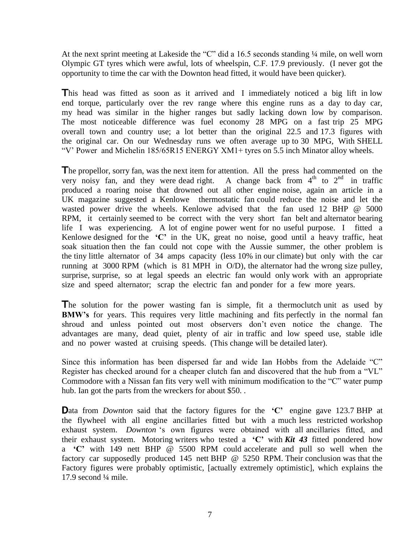At the next sprint meeting at Lakeside the "C" did a 16.5 seconds standing  $\frac{1}{4}$  mile, on well worn Olympic GT tyres which were awful, lots of wheelspin, C.F. 17.9 previously. (I never got the opportunity to time the car with the Downton head fitted, it would have been quicker).

This head was fitted as soon as it arrived and I immediately noticed a big lift in low end torque, particularly over the rev range where this engine runs as a day to day car, my head was similar in the higher ranges but sadly lacking down low by comparison. The most noticeable difference was fuel economy 28 MPG on a fast trip 25 MPG overall town and country use; a lot better than the original 22.5 and 17.3 figures with the original car. On our Wednesday runs we often average up to 30 MPG, With SHELL "V' Power and Michelin 185/65R15 ENERGY XM1+ tyres on 5.5 inch Minator alloy wheels.

The propellor, sorry fan, was the next item for attention. All the press had commented on the very noisy fan, and they were dead right. A change back from  $4<sup>th</sup>$  to  $2<sup>nd</sup>$  in traffic produced a roaring noise that drowned out all other engine noise, again an article in a UK magazine suggested a Kenlowethermostatic fan could reduce the noise and let the wasted power drive the wheels. Kenlowe advised that the fan used 12 BHP @ 5000 RPM, it certainly seemed to be correct with the very short fan belt and alternator bearing life I was experiencing. A lot of engine power went for no useful purpose. I fitted a Kenlowe designed for the **'C'** in the UK, great no noise, good until a heavy traffic, heat soak situation then the fan could not cope with the Aussie summer, the other problem is the tiny little alternator of 34 amps capacity (less 10% in our climate) but only with the car running at 3000 RPM (which is 81 MPH in O/D), the alternator had the wrong size pulley, surprise, surprise, so at legal speeds an electric fan would only work with an appropriate size and speed alternator; scrap the electric fan and ponder for a few more years.

The solution for the power wasting fan is simple, fit a thermoclutch unit as used by **BMW's** for years. This requires very little machining and fits perfectly in the normal fan shroud and unless pointed out most observers don't even notice the change. The advantages are many, dead quiet, plenty of air in traffic and low speed use, stable idle and no power wasted at cruising speeds. (This change will be detailed later).

Since this information has been dispersed far and wide Ian Hobbs from the Adelaide "C" Register has checked around for a cheaper clutch fan and discovered that the hub from a "VL" Commodore with a Nissan fan fits very well with minimum modification to the "C" water pump hub. Ian got the parts from the wreckers for about \$50. .

Data from *Downton* said that the factory figures for the **'C'** engine gave 123.7 BHP at the flywheel with all engine ancillaries fitted but with a much less restricted workshop exhaust system. *Downton* 's own figures were obtained with all ancillaries fitted, and their exhaust system. Motoring writers who tested a **'C'** with *Kit 43* fitted pondered how a **'C'** with 149 nett BHP @ 5500 RPM could accelerate and pull so well when the factory car supposedly produced 145 nett BHP @ 5250 RPM. Their conclusion was that the Factory figures were probably optimistic, [actually extremely optimistic], which explains the 17.9 second ¼ mile.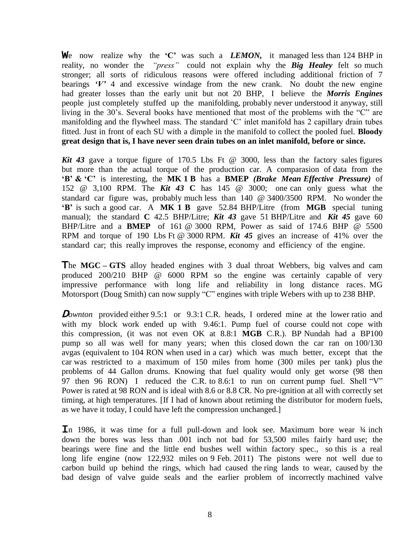We now realize why the **'C'** was such a *LEMON,* it managed less than 124 BHP in reality, no wonder the *"press"* could not explain why the *Big Healey* felt so much stronger; all sorts of ridiculous reasons were offered including additional friction of 7 bearings  $V'$  4 and excessive windage from the new crank. No doubt the new engine had greater losses than the early unit but not 20 BHP, I believe the *Morris Engines*  people just completely stuffed up the manifolding, probably never understood it anyway, still living in the 30's. Several books have mentioned that most of the problems with the "C" are manifolding and the flywheel mass. The standard 'C' inlet manifold has 2 capillary drain tubes fitted. Just in front of each SU with a dimple in the manifold to collect the pooled fuel. **Bloody great design that is, I have never seen drain tubes on an inlet manifold, before or since.**

*Kit 43* gave a torque figure of 170.5 Lbs Ft @ 3000, less than the factory sales figures but more than the actual torque of the production car. A comparasion of data from the **'B' & 'C'** is interesting, the **MK 1 B** has a **BMEP** *(Brake Mean Effective Pressure)* of 152 @ 3,100 RPM. The *Kit 43* **C** has 145 @ 3000; one can only guess what the standard car figure was, probably much less than 140 @ 3400/3500 RPM. No wonder the **'B'** is such a good car. A **MK 1 B** gave 52.84 BHP/Litre (from **MGB** special tuning manual); the standard **C** 42.5 BHP/Litre; *Kit 43* gave 51 BHP/Litre and *Kit 45* gave 60 BHP/Litre and a **BMEP** of 161 @ 3000 RPM, Power as said of 174.6 BHP @ 5500 RPM and torque of 190 Lbs Ft @ 3000 RPM. *Kit 45* gives an increase of 41% over the standard car; this really improves the response, economy and efficiency of the engine.

The **MGC – GTS** alloy headed engines with 3 dual throat Webbers, big valves and cam produced 200/210 BHP @ 6000 RPM so the engine was certainly capable of very impressive performance with long life and reliability in long distance races. MG Motorsport (Doug Smith) can now supply "C" engines with triple Webers with up to 238 BHP.

**D**ownton provided either 9.5:1 or 9.3:1 C.R. heads, I ordered mine at the lower ratio and with my block work ended up with 9.46:1. Pump fuel of course could not cope with this compression, (it was not even OK at 8.8:1 **MGB** C.R.). BP Nundah had a BP100 pump so all was well for many years; when this closed down the car ran on 100/130 avgas (equivalent to 104 RON when used in a car) which was much better, except that the car was restricted to a maximum of 150 miles from home (300 miles per tank) plus the problems of 44 Gallon drums. Knowing that fuel quality would only get worse (98 then 97 then 96 RON) I reduced the C.R. to 8.6:1 to run on current pump fuel. Shell "V" Power is rated at 98 RON and is ideal with 8.6 or 8.8 CR. No pre-ignition at all with correctly set timing, at high temperatures. [If I had of known about retiming the distributor for modern fuels, as we have it today, I could have left the compression unchanged.]

In 1986, it was time for a full pull-down and look see. Maximum bore wear  $\frac{3}{4}$  inch down the bores was less than .001 inch not bad for 53,500 miles fairly hard use; the bearings were fine and the little end bushes well within factory spec., so this is a real long life engine (now 122,932 miles on 9 Feb. 2011) The pistons were not well due to carbon build up behind the rings, which had caused the ring lands to wear, caused by the bad design of valve guide seals and the earlier problem of incorrectly machined valve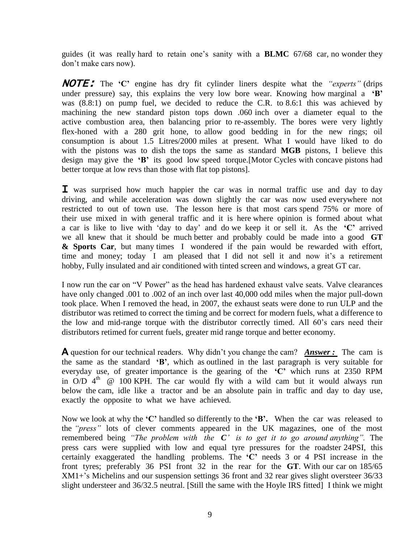guides (it was really hard to retain one's sanity with a **BLMC** 67/68 car, no wonder they don't make cars now).

NOTE: The **'C'** engine has dry fit cylinder liners despite what the *"experts"* (drips under pressure) say, this explains the very low bore wear. Knowing how marginal a **'B'**  was (8.8:1) on pump fuel, we decided to reduce the C.R. to 8.6:1 this was achieved by machining the new standard piston tops down .060 inch over a diameter equal to the active combustion area, then balancing prior to re-assembly. The bores were very lightly flex-honed with a 280 grit hone, to allow good bedding in for the new rings; oil consumption is about 1.5 Litres/2000 miles at present. What I would have liked to do with the pistons was to dish the tops the same as standard **MGB** pistons, I believe this design may give the **'B'** its good low speed torque.[Motor Cycles with concave pistons had better torque at low revs than those with flat top pistons].

**I** was surprised how much happier the car was in normal traffic use and day to day driving, and while acceleration was down slightly the car was now used everywhere not restricted to out of town use. The lesson here is that most cars spend 75% or more of their use mixed in with general traffic and it is here where opinion is formed about what a car is like to live with 'day to day' and do we keep it or sell it. As the **'C'** arrived we all knew that it should be much better and probably could be made into a good **GT & Sports Car**, but many times I wondered if the pain would be rewarded with effort, time and money; today I am pleased that I did not sell it and now it's a retirement hobby, Fully insulated and air conditioned with tinted screen and windows, a great GT car.

I now run the car on "V Power" as the head has hardened exhaust valve seats. Valve clearances have only changed .001 to .002 of an inch over last 40,000 odd miles when the major pull-down took place. When I removed the head, in 2007, the exhaust seats were done to run ULP and the distributor was retimed to correct the timing and be correct for modern fuels, what a difference to the low and mid-range torque with the distributor correctly timed. All 60's cars need their distributors retimed for current fuels, greater mid range torque and better economy.

A question for our technical readers. Why didn't you change the cam? *Answer :* The cam is the same as the standard **'B'**, which as outlined in the last paragraph is very suitable for everyday use, of greater importance is the gearing of the **'C'** which runs at 2350 RPM in  $O/D$  4<sup>th</sup>  $\omega$  100 KPH. The car would fly with a wild cam but it would always run below the cam, idle like a tractor and be an absolute pain in traffic and day to day use, exactly the opposite to what we have achieved.

Now we look at why the **'C'** handled so differently to the **'B'.** When the car was released to the *"press"* lots of clever comments appeared in the UK magazines, one of the most remembered being *"The problem with the C' is to get it to go around anything".* The press cars were supplied with low and equal tyre pressures for the roadster 24PSI, this certainly exaggerated the handling problems. The **'C'** needs 3 or 4 PSI increase in the front tyres; preferably 36 PSI front 32 in the rear for the **GT**. With our car on 185/65 XM1+'s Michelins and our suspension settings 36 front and 32 rear gives slight oversteer 36/33 slight understeer and 36/32.5 neutral. [Still the same with the Hoyle IRS fitted] I think we might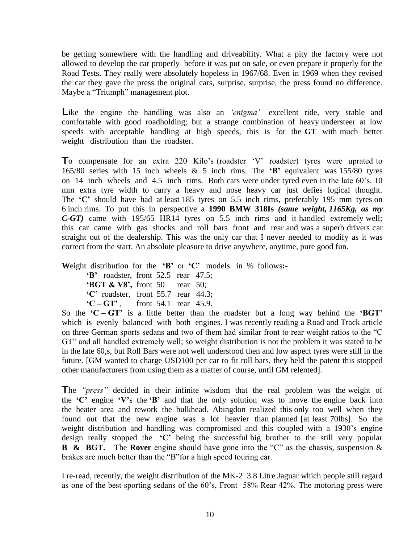be getting somewhere with the handling and driveability. What a pity the factory were not allowed to develop the car properly before it was put on sale, or even prepare it properly for the Road Tests. They really were absolutely hopeless in 1967/68. Even in 1969 when they revised the car they gave the press the original cars, surprise, surprise, the press found no difference. Maybe a "Triumph" management plot.

Like the engine the handling was also an *'enigma'* excellent ride, very stable and comfortable with good roadholding; but a strange combination of heavy understeer at low speeds with acceptable handling at high speeds, this is for the **GT** with much better weight distribution than the roadster.

To compensate for an extra 220 Kilo's (roadster 'V' roadster) tyres were uprated to 165/80 series with 15 inch wheels & 5 inch rims. The **'B'** equivalent was 155/80 tyres on 14 inch wheels and 4.5 inch rims. Both cars were under tyred even in the late 60's. 10 mm extra tyre width to carry a heavy and nose heavy car just defies logical thought. The **'C'** should have had at least 185 tyres on 5.5 inch rims, preferably 195 mm tyres on 6 inch rims. To put this in perspective a **1990 BMW 318Is** *(same weight, 1165Kg, as my C-GT)* came with 195/65 HR14 tyres on 5.5 inch rims and it handled extremely well; this car came with gas shocks and roll bars front and rear and was a superb drivers car straight out of the dealership. This was the only car that I never needed to modify as it was correct from the start. An absolute pleasure to drive anywhere, anytime, pure good fun.

**W**eight distribution for the **'B'** or **'C'** models in % follows**:-**

| $B'$ roadster, front 52.5 rear 47.5;          |  |  |
|-----------------------------------------------|--|--|
| <b>BGT &amp; V8',</b> front 50 rear 50;       |  |  |
| $^{\circ}$ C' roadster, front 55.7 rear 44.3; |  |  |
| ${^4}C - GT$ , front 54.1 rear 45.9.          |  |  |

So the **'C – GT'** is a little better than the roadster but a long way behind the **'BGT'**  which is evenly balanced with both engines. I was recently reading a Road and Track article on three German sports sedans and two of them had similar front to rear weight ratios to the "C GT" and all handled extremely well; so weight distribution is not the problem it was stated to be in the late 60,s, but Roll Bars were not well understood then and low aspect tyres were still in the future. [GM wanted to charge USD100 per car to fit roll bars, they held the patent this stopped other manufacturers from using them as a matter of course, until GM relented].

The *"press"* decided in their infinite wisdom that the real problem was the weight of the **'C'** engine **'V'**s the **'B'** and that the only solution was to move the engine back into the heater area and rework the bulkhead. Abingdon realized this only too well when they found out that the new engine was a lot heavier than planned [at least 70lbs]. So the weight distribution and handling was compromised and this coupled with a 1930's engine design really stopped the **'C'** being the successful big brother to the still very popular **B & BGT.** The **Rover** engine should have gone into the "C" as the chassis, suspension & brakes are much better than the "B"for a high speed touring car.

I re-read, recently, the weight distribution of the MK-2 3.8 Litre Jaguar which people still regard as one of the best sporting sedans of the 60's, Front 58% Rear 42%. The motoring press were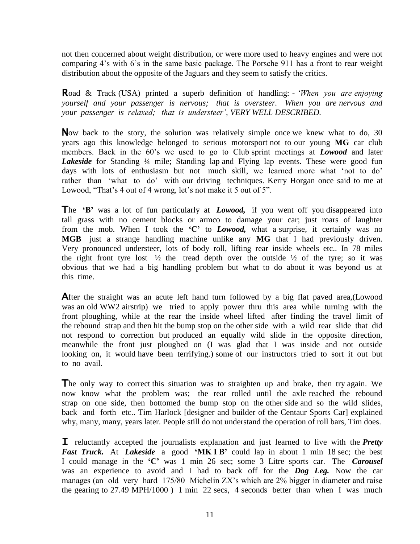not then concerned about weight distribution, or were more used to heavy engines and were not comparing 4's with 6's in the same basic package. The Porsche 911 has a front to rear weight distribution about the opposite of the Jaguars and they seem to satisfy the critics.

Road & Track (USA) printed a superb definition of handling: - *'When you are enjoying yourself and your passenger is nervous; that is oversteer. When you are nervous and your passenger is relaxed; that is understeer', VERY WELL DESCRIBED.* 

Now back to the story, the solution was relatively simple once we knew what to do, 30 years ago this knowledge belonged to serious motorsport not to our young **MG** car club members. Back in the 60's we used to go to Club sprint meetings at *Lowood* and later Lakeside for Standing <sup>1</sup>/4 mile; Standing lap and Flying lap events. These were good fun days with lots of enthusiasm but not much skill, we learned more what 'not to do' rather than 'what to do' with our driving techniques. Kerry Horgan once said to me at Lowood, "That's 4 out of 4 wrong, let's not make it 5 out of 5".

The 'B' was a lot of fun particularly at *Lowood*, if you went off you disappeared into tall grass with no cement blocks or armco to damage your car; just roars of laughter from the mob. When I took the **'C'** to *Lowood,* what a surprise, it certainly was no **MGB** just a strange handling machine unlike any **MG** that I had previously driven. Very pronounced understeer, lots of body roll, lifting rear inside wheels etc.. In 78 miles the right front tyre lost  $\frac{1}{2}$  the tread depth over the outside  $\frac{1}{2}$  of the tyre; so it was obvious that we had a big handling problem but what to do about it was beyond us at this time.

After the straight was an acute left hand turn followed by a big flat paved area, (Lowood was an old WW2 airstrip) we tried to apply power thru this area while turning with the front ploughing, while at the rear the inside wheel lifted after finding the travel limit of the rebound strap and then hit the bump stop on the other side with a wild rear slide that did not respond to correction but produced an equally wild slide in the opposite direction, meanwhile the front just ploughed on (I was glad that I was inside and not outside looking on, it would have been terrifying.) some of our instructors tried to sort it out but to no avail.

The only way to correct this situation was to straighten up and brake, then try again. We now know what the problem was; the rear rolled until the axle reached the rebound strap on one side, then bottomed the bump stop on the other side and so the wild slides, back and forth etc.. Tim Harlock [designer and builder of the Centaur Sports Car] explained why, many, many, years later. People still do not understand the operation of roll bars, Tim does.

I reluctantly accepted the journalists explanation and just learned to live with the *Pretty Fast Truck.* At *Lakeside* a good **'MK I B'** could lap in about 1 min 18 sec; the best I could manage in the **'C'** was 1 min 26 sec; some 3 Litre sports car. The *Carousel*  was an experience to avoid and I had to back off for the *Dog Leg.* Now the car manages (an old very hard 175/80 Michelin ZX's which are 2% bigger in diameter and raise the gearing to 27.49 MPH/1000 ) 1 min 22 secs, 4 seconds better than when I was much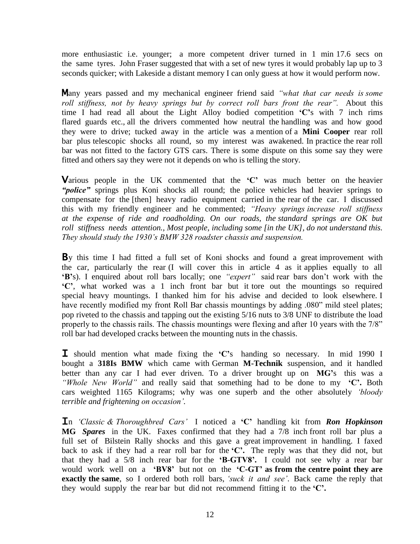more enthusiastic i.e. younger; a more competent driver turned in 1 min 17.6 secs on the same tyres. John Fraser suggested that with a set of new tyres it would probably lap up to 3 seconds quicker; with Lakeside a distant memory I can only guess at how it would perform now.

Many years passed and my mechanical engineer friend said *"what that car needs is some roll stiffness, not by heavy springs but by correct roll bars front the rear".* About this time I had read all about the Light Alloy bodied competition **'C'**s with 7 inch rims flared guards etc., all the drivers commented how neutral the handling was and how good they were to drive; tucked away in the article was a mention of a **Mini Cooper** rear roll bar plus telescopic shocks all round, so my interest was awakened. In practice the rear roll bar was not fitted to the factory GTS cars. There is some dispute on this some say they were fitted and others say they were not it depends on who is telling the story.

Various people in the UK commented that the **'C'** was much better on the heavier *"police"* springs plus Koni shocks all round; the police vehicles had heavier springs to compensate for the [then] heavy radio equipment carried in the rear of the car. I discussed this with my friendly engineer and he commented; *"Heavy springs increase roll stiffness at the expense of ride and roadholding. On our roads, the standard springs are OK but roll stiffness needs attention., Most people, including some [in the UK], do not understand this. They should study the 1930's BMW 328 roadster chassis and suspension.*

By this time I had fitted a full set of Koni shocks and found a great improvement with the car, particularly the rear (I will cover this in article 4 as it applies equally to all **'B'**s). I enquired about roll bars locally; one *"expert"* said rear bars don't work with the **'C'**, what worked was a 1 inch front bar but it tore out the mountings so required special heavy mountings. I thanked him for his advise and decided to look elsewhere. I have recently modified my front Roll Bar chassis mountings by adding .080" mild steel plates; pop riveted to the chassis and tapping out the existing 5/16 nuts to 3/8 UNF to distribute the load properly to the chassis rails. The chassis mountings were flexing and after 10 years with the 7/8" roll bar had developed cracks between the mounting nuts in the chassis.

I should mention what made fixing the **'C'**s handing so necessary. In mid 1990 I bought a **318Is BMW** which came with German **M-Technik** suspension, and it handled better than any car I had ever driven. To a driver brought up on **MG'**s this was a *"Whole New World"* and really said that something had to be done to my **'C'.** Both cars weighted 1165 Kilograms; why was one superb and the other absolutely *'bloody terrible and frightening on occasion'.*

In *'Classic & Thoroughbred Cars'* I noticed a **'C'** handling kit from *Ron Hopkinson*  **MG** *Spares* in the UK. Faxes confirmed that they had a 7/8 inch front roll bar plus a full set of Bilstein Rally shocks and this gave a great improvement in handling. I faxed back to ask if they had a rear roll bar for the **'C'.** The reply was that they did not, but that they had a 5/8 inch rear bar for the **'B-GTV8'.** I could not see why a rear bar would work well on a **'BV8'** but not on the **'C-GT' as from the centre point they are exactly the same**, so I ordered both roll bars, *'suck it and see'*. Back came the reply that they would supply the rear bar but did not recommend fitting it to the **'C'.**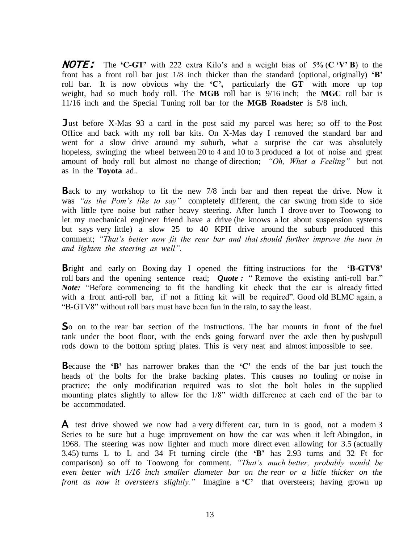NOTE: The **'C-GT'** with 222 extra Kilo's and a weight bias of 5% (**C 'V' B**) to the front has a front roll bar just 1/8 inch thicker than the standard (optional, originally) **'B'** roll bar. It is now obvious why the **'C',** particularly the **GT** with more up top weight, had so much body roll. The **MGB** roll bar is 9/16 inch; the **MGC** roll bar is 11/16 inch and the Special Tuning roll bar for the **MGB Roadster** is 5/8 inch.

Just before X-Mas 93 a card in the post said my parcel was here; so off to the Post Office and back with my roll bar kits. On X-Mas day I removed the standard bar and went for a slow drive around my suburb, what a surprise the car was absolutely hopeless, swinging the wheel between 20 to 4 and 10 to 3 produced a lot of noise and great amount of body roll but almost no change of direction; *"Oh, What a Feeling"* but not as in the **Toyota** ad..

**Back** to my workshop to fit the new 7/8 inch bar and then repeat the drive. Now it was *"as the Pom's like to say"* completely different, the car swung from side to side with little tyre noise but rather heavy steering. After lunch I drove over to Toowong to let my mechanical engineer friend have a drive (he knows a lot about suspension systems but says very little) a slow 25 to 40 KPH drive around the suburb produced this comment; *"That's better now fit the rear bar and that should further improve the turn in and lighten the steering as well".*

Bright and early on Boxing day I opened the fitting instructions for the **'B-GTV8'**  roll bars and the opening sentence read; *Quote*: "Remove the existing anti-roll bar." *Note:* "Before commencing to fit the handling kit check that the car is already fitted with a front anti-roll bar, if not a fitting kit will be required". Good old BLMC again, a "B-GTV8" without roll bars must have been fun in the rain, to say the least.

So on to the rear bar section of the instructions. The bar mounts in front of the fuel tank under the boot floor, with the ends going forward over the axle then by push/pull rods down to the bottom spring plates. This is very neat and almost impossible to see.

Because the **'B'** has narrower brakes than the **'C'** the ends of the bar just touch the heads of the bolts for the brake backing plates. This causes no fouling or noise in practice; the only modification required was to slot the bolt holes in the supplied mounting plates slightly to allow for the 1/8" width difference at each end of the bar to be accommodated.

A test drive showed we now had a very different car, turn in is good, not a modern 3 Series to be sure but a huge improvement on how the car was when it left Abingdon, in 1968. The steering was now lighter and much more direct even allowing for 3.5 (actually 3.45) turns L to L and 34 Ft turning circle (the **'B'** has 2.93 turns and 32 Ft for comparison) so off to Toowong for comment. *"That's much better, probably would be even better with 1/16 inch smaller diameter bar on the rear or a little thicker on the front as now it oversteers slightly."* Imagine a **'C'** that oversteers; having grown up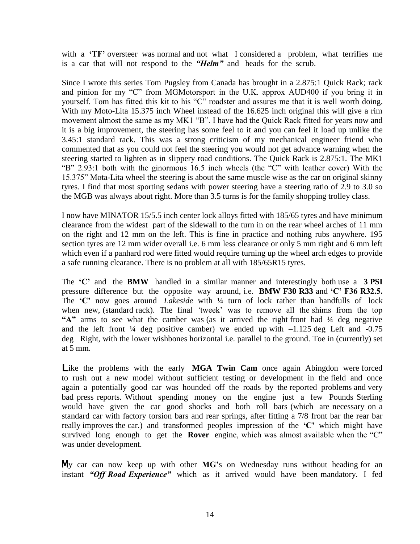with a 'TF' oversteer was normal and not what I considered a problem, what terrifies me is a car that will not respond to the *"Helm"* and heads for the scrub.

Since I wrote this series Tom Pugsley from Canada has brought in a 2.875:1 Quick Rack; rack and pinion for my "C" from MGMotorsport in the U.K. approx AUD400 if you bring it in yourself. Tom has fitted this kit to his "C" roadster and assures me that it is well worth doing. With my Moto-Lita 15.375 inch Wheel instead of the 16.625 inch original this will give a rim movement almost the same as my MK1 "B". I have had the Quick Rack fitted for years now and it is a big improvement, the steering has some feel to it and you can feel it load up unlike the 3.45:1 standard rack. This was a strong criticism of my mechanical engineer friend who commented that as you could not feel the steering you would not get advance warning when the steering started to lighten as in slippery road conditions. The Quick Rack is 2.875:1. The MK1 "B" 2.93:1 both with the ginormous 16.5 inch wheels (the "C" with leather cover) With the 15.375" Mota-Lita wheel the steering is about the same muscle wise as the car on original skinny tyres. I find that most sporting sedans with power steering have a steering ratio of 2.9 to 3.0 so the MGB was always about right. More than 3.5 turns is for the family shopping trolley class.

I now have MINATOR 15/5.5 inch center lock alloys fitted with 185/65 tyres and have minimum clearance from the widest part of the sidewall to the turn in on the rear wheel arches of 11 mm on the right and 12 mm on the left. This is fine in practice and nothing rubs anywhere. 195 section tyres are 12 mm wider overall i.e. 6 mm less clearance or only 5 mm right and 6 mm left which even if a panhard rod were fitted would require turning up the wheel arch edges to provide a safe running clearance. There is no problem at all with 185/65R15 tyres.

The **'C'** and the **BMW** handled in a similar manner and interestingly both use a **3 PSI**  pressure difference but the opposite way around, i.e. **BMW F30 R33** and **'C' F36 R32.5.** The **'C'** now goes around *Lakeside* with ¼ turn of lock rather than handfulls of lock when new, (standard rack). The final *'*tweek' was to remove all the shims from the top **"A"** arms to see what the camber was (as it arrived the right front had ¼ deg negative and the left front  $\frac{1}{4}$  deg positive camber) we ended up with  $-1.125$  deg Left and  $-0.75$ deg Right, with the lower wishbones horizontal i.e. parallel to the ground. Toe in (currently) set at 5 mm.

Like the problems with the early **MGA Twin Cam** once again Abingdon were forced to rush out a new model without sufficient testing or development in the field and once again a potentially good car was hounded off the roads by the reported problems and very bad press reports. Without spending money on the engine just a few Pounds Sterling would have given the car good shocks and both roll bars (which are necessary on a standard car with factory torsion bars and rear springs, after fitting a 7/8 front bar the rear bar really improves the car.) and transformed peoples impression of the **'C'** which might have survived long enough to get the **Rover** engine, which was almost available when the "C" was under development.

My car can now keep up with other **MG'**s on Wednesday runs without heading for an instant *"Off Road Experience"* which as it arrived would have been mandatory. I fed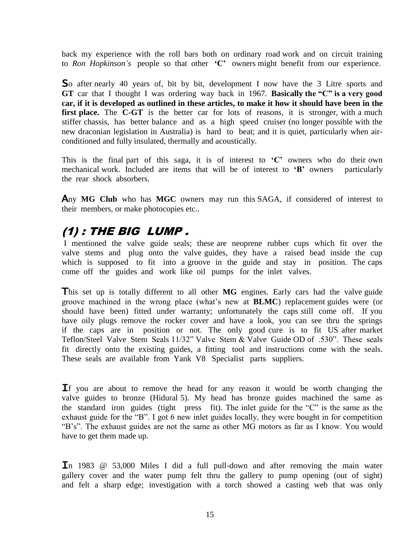back my experience with the roll bars both on ordinary road work and on circuit training to *Ron Hopkinson's* people so that other **'C'** owners might benefit from our experience.

So after nearly 40 years of, bit by bit, development I now have the 3 Litre sports and **GT** car that I thought I was ordering way back in 1967. **Basically the "C" is a very good car, if it is developed as outlined in these articles, to make it how it should have been in the**  first place. The C-GT is the better car for lots of reasons, it is stronger, with a much stiffer chassis, has better balance and as a high speed cruiser (no longer possible with the new draconian legislation in Australia) is hard to beat; and it is quiet, particularly when airconditioned and fully insulated, thermally and acoustically.

This is the final part of this saga, it is of interest to **'C'** owners who do their own mechanical work. Included are items that will be of interest to **'B'** owners particularly the rear shock absorbers.

Any **MG Club** who has **MGC** owners may run this SAGA, if considered of interest to their members, or make photocopies etc..

## (1) : THE BIG LUMP .

I mentioned the valve guide seals; these are neoprene rubber cups which fit over the valve stems and plug onto the valve guides, they have a raised bead inside the cup which is supposed to fit into a groove in the guide and stay in position. The caps come off the guides and work like oil pumps for the inlet valves.

This set up is totally different to all other **MG** engines. Early cars had the valve guide groove machined in the wrong place (what's new at **BLMC**) replacement guides were (or should have been) fitted under warranty; unfortunately the caps still come off. If you have oily plugs remove the rocker cover and have a look, you can see thru the springs if the caps are in position or not. The only good cure is to fit US after market Teflon/Steel Valve Stem Seals 11/32" Valve Stem & Valve Guide OD of .530". These seals fit directly onto the existing guides, a fitting tool and instructions come with the seals. These seals are available from Yank V8 Specialist parts suppliers.

If you are about to remove the head for any reason it would be worth changing the valve guides to bronze (Hidural 5). My head has bronze guides machined the same as the standard iron guides (tight press fit). The inlet guide for the "C" is the same as the exhaust guide for the "B". I got 6 new inlet guides locally, they were bought in for competition "B's". The exhaust guides are not the same as other MG motors as far as I know. You would have to get them made up.

In 1983  $\circledcirc$  53,000 Miles I did a full pull-down and after removing the main water gallery cover and the water pump felt thru the gallery to pump opening (out of sight) and felt a sharp edge; investigation with a torch showed a casting web that was only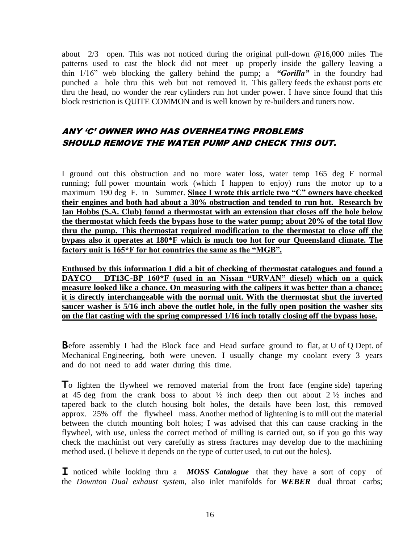about 2/3 open. This was not noticed during the original pull-down @16,000 miles The patterns used to cast the block did not meet up properly inside the gallery leaving a thin 1/16" web blocking the gallery behind the pump; a *"Gorilla"* in the foundry had punched a hole thru this web but not removed it. This gallery feeds the exhaust ports etc thru the head, no wonder the rear cylinders run hot under power. I have since found that this block restriction is QUITE COMMON and is well known by re-builders and tuners now.

### ANY 'C' OWNER WHO HAS OVERHEATING PROBLEMS SHOULD REMOVE THE WATER PUMP AND CHECK THIS OUT.

I ground out this obstruction and no more water loss, water temp 165 deg F normal running; full power mountain work (which I happen to enjoy) runs the motor up to a maximum 190 deg F. in Summer. **Since I wrote this article two "C" owners have checked their engines and both had about a 30% obstruction and tended to run hot. Research by Ian Hobbs (S.A. Club) found a thermostat with an extension that closes off the hole below the thermostat which feeds the bypass hose to the water pump; about 20% of the total flow thru the pump. This thermostat required modification to the thermostat to close off the bypass also it operates at 180\*F which is much too hot for our Queensland climate. The factory unit is 165\*F for hot countries the same as the "MGB".**

**Enthused by this information I did a bit of checking of thermostat catalogues and found a DAYCO DT13C-BP 160\*F (used in an Nissan "URVAN" diesel) which on a quick measure looked like a chance. On measuring with the calipers it was better than a chance; it is directly interchangeable with the normal unit. With the thermostat shut the inverted saucer washer is 5/16 inch above the outlet hole, in the fully open position the washer sits on the flat casting with the spring compressed 1/16 inch totally closing off the bypass hose.**

**B**efore assembly I had the Block face and Head surface ground to flat, at U of Q Dept. of Mechanical Engineering, both were uneven. I usually change my coolant every 3 years and do not need to add water during this time.

To lighten the flywheel we removed material from the front face (engine side) tapering at 45 deg from the crank boss to about  $\frac{1}{2}$  inch deep then out about  $2 \frac{1}{2}$  inches and tapered back to the clutch housing bolt holes, the details have been lost, this removed approx. 25% off the flywheel mass. Another method of lightening is to mill out the material between the clutch mounting bolt holes; I was advised that this can cause cracking in the flywheel, with use, unless the correct method of milling is carried out, so if you go this way check the machinist out very carefully as stress fractures may develop due to the machining method used. (I believe it depends on the type of cutter used, to cut out the holes).

Inoticed while looking thru a *MOSS Catalogue*that they have a sort of copy of the *Downton Dual exhaust system,* also inlet manifolds for *WEBER* dual throat carbs;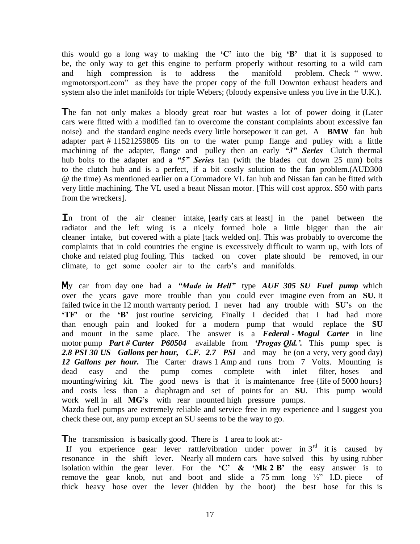this would go a long way to making the **'C'** into the big **'B'** that it is supposed to be, the only way to get this engine to perform properly without resorting to a wild cam and high compression is to address the manifold problem. Check " www. mgmotorsport.com" as they have the proper copy of the full Downton exhaust headers and system also the inlet manifolds for triple Webers; (bloody expensive unless you live in the U.K.).

The fan not only makes a bloody great roar but wastes a lot of power doing it (Later cars were fitted with a modified fan to overcome the constant complaints about excessive fan noise) and the standard engine needs every little horsepower it can get. A **BMW** fan hub adapter part # 11521259805 fits on to the water pump flange and pulley with a little machining of the adapter, flange and pulley then an early *"3" Series* Clutch thermal hub bolts to the adapter and a *"5" Series* fan (with the blades cut down 25 mm) bolts to the clutch hub and is a perfect, if a bit costly solution to the fan problem.(AUD300 @ the time) As mentioned earlier on a Commadore VL fan hub and Nissan fan can be fitted with very little machining. The VL used a beaut Nissan motor. [This will cost approx. \$50 with parts from the wreckers].

In front of the air cleaner intake, [early cars at least] in the panel between the radiator and the left wing is a nicely formed hole a little bigger than the air cleaner intake, but covered with a plate [tack welded on]. This was probably to overcome the complaints that in cold countries the engine is excessively difficult to warm up, with lots of choke and related plug fouling. This tacked on cover plate should be removed, in our climate, to get some cooler air to the carb's and manifolds.

My car from day one had a *"Made in Hell"* type *AUF 305 SU Fuel pump* which over the years gave more trouble than you could ever imagine even from an **SU.** It failed twice in the 12 month warranty period. I never had any trouble with **SU**'s on the **'TF'** or the 'B' just routine servicing. Finally I decided that I had had more than enough pain and looked for a modern pump that would replace the **SU** and mount in the same place. The answer is a *Federal - Mogul Carter* in line motor pump *Part # Carter P60504* available from *'Progas Qld.'.* This pump spec is *2.8 PSI 30 US Gallons per hour, C.F. 2.7 PSI* and may be (on a very, very good day) *12 Gallons per hour.* The Carter draws 1 Amp and runs from 7 Volts. Mounting is dead easy and the pump comes complete with inlet filter, hoses and mounting/wiring kit. The good news is that it is maintenance free {life of 5000 hours} and costs less than a diaphragm and set of points for an **SU**. This pump would work well in all **MG's** with rear mounted high pressure pumps. Mazda fuel pumps are extremely reliable and service free in my experience and I suggest you check these out, any pump except an SU seems to be the way to go.

The transmission is basically good. There is 1 area to look at:-

If you experience gear lever rattle/vibration under power in  $3<sup>rd</sup>$  it is caused by resonance in the shift lever. Nearly all modern cars have solved this by using rubber isolation within the gear lever. For the **'C' & 'Mk 2 B'** the easy answer is to remove the gear knob, nut and boot and slide a  $75 \text{ mm}$  long  $\frac{1}{2}$ " I.D. piece of thick heavy hose over the lever (hidden by the boot) the best hose for this is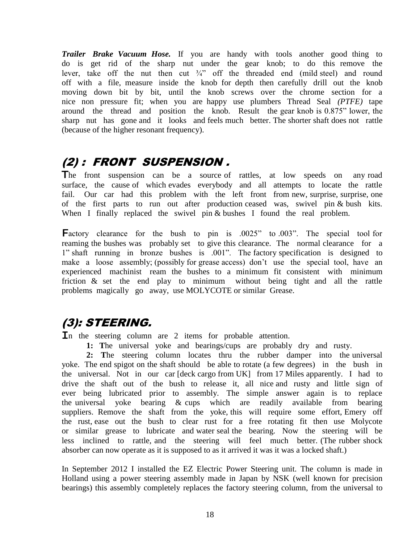*Trailer Brake Vacuum Hose.* If you are handy with tools another good thing to do is get rid of the sharp nut under the gear knob; to do this remove the lever, take off the nut then cut  $\frac{3}{4}$  off the threaded end (mild steel) and round off with a file, measure inside the knob for depth then carefully drill out the knob moving down bit by bit, until the knob screws over the chrome section for a nice non pressure fit; when you are happy use plumbers Thread Seal *(PTFE)* tape around the thread and position the knob. Result the gear knob is 0.875" lower, the sharp nut has gone and it looks and feels much better. The shorter shaft does not rattle (because of the higher resonant frequency).

# (2) : FRONT SUSPENSION .

The front suspension can be a source of rattles, at low speeds on any road surface, the cause of which evades everybody and all attempts to locate the rattle fail. Our car had this problem with the left front from new, surprise, surprise, one of the first parts to run out after production ceased was, swivel pin & bush kits. When I finally replaced the swivel pin & bushes I found the real problem.

Factory clearance for the bush to pin is .0025" to .003". The special tool for reaming the bushes was probably set to give this clearance. The normal clearance for a 1" shaft running in bronze bushes is .001". The factory specification is designed to make a loose assembly; (possibly for grease access) don't use the special tool, have an experienced machinist ream the bushes to a minimum fit consistent with minimum friction & set the end play to minimum without being tight and all the rattle problems magically go away, use MOLYCOTE or similar Grease.

# (3): STEERING.

In the steering column are 2 items for probable attention.

**1: T**he universal yoke and bearings/cups are probably dry and rusty.

**2: T**he steering column locates thru the rubber damper into the universal yoke. The end spigot on the shaft should be able to rotate (a few degrees) in the bush in the universal. Not in our car [deck cargo from UK] from 17 Miles apparently. I had to drive the shaft out of the bush to release it, all nice and rusty and little sign of ever being lubricated prior to assembly. The simple answer again is to replace the universal yoke bearing & cups which are readily available from bearing suppliers. Remove the shaft from the yoke, this will require some effort, Emery off the rust, ease out the bush to clear rust for a free rotating fit then use Molycote or similar grease to lubricate and water seal the bearing. Now the steering will be less inclined to rattle, and the steering will feel much better. (The rubber shock absorber can now operate as it is supposed to as it arrived it was it was a locked shaft.)

In September 2012 I installed the EZ Electric Power Steering unit. The column is made in Holland using a power steering assembly made in Japan by NSK (well known for precision bearings) this assembly completely replaces the factory steering column, from the universal to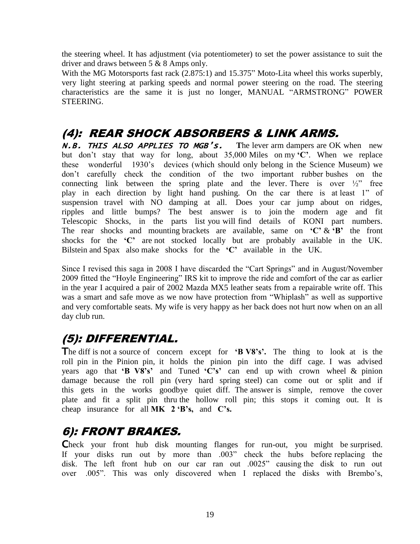the steering wheel. It has adjustment (via potentiometer) to set the power assistance to suit the driver and draws between 5 & 8 Amps only.

With the MG Motorsports fast rack (2.875:1) and 15.375" Moto-Lita wheel this works superbly, very light steering at parking speeds and normal power steering on the road. The steering characteristics are the same it is just no longer, MANUAL "ARMSTRONG" POWER STEERING.

### (4): REAR SHOCK ABSORBERS & LINK ARMS.

N.B. THIS ALSO APPLIES TO MGB's. **T**he lever arm dampers are OK when new but don't stay that way for long, about 35,000 Miles on my **'C'**. When we replace these wonderful 1930's devices (which should only belong in the Science Museum) we don't carefully check the condition of the two important rubber bushes on the connecting link between the spring plate and the lever. There is over  $\frac{1}{2}$  free play in each direction by light hand pushing. On the car there is at least 1" of suspension travel with NO damping at all. Does your car jump about on ridges, ripples and little bumps? The best answer is to join the modern age and fit Telescopic Shocks, in the parts list you will find details of KONI part numbers. The rear shocks and mounting brackets are available, same on  $\mathbf{C}' \& \mathbf{B}'$  the front shocks for the **'C'** are not stocked locally but are probably available in the UK. Bilstein and Spax also make shocks for the **'C'** available in the UK.

Since I revised this saga in 2008 I have discarded the "Cart Springs" and in August/November 2009 fitted the "Hoyle Engineering" IRS kit to improve the ride and comfort of the car as earlier in the year I acquired a pair of 2002 Mazda MX5 leather seats from a repairable write off. This was a smart and safe move as we now have protection from "Whiplash" as well as supportive and very comfortable seats. My wife is very happy as her back does not hurt now when on an all day club run.

# (5): DIFFERENTIAL.

The diff is not a source of concern except for **'B V8's'.** The thing to look at is the roll pin in the Pinion pin, it holds the pinion pin into the diff cage. I was advised years ago that **'B V8's'** and Tuned **'C's'** can end up with crown wheel & pinion damage because the roll pin (very hard spring steel) can come out or split and if this gets in the works goodbye quiet diff. The answer is simple, remove the cover plate and fit a split pin thru the hollow roll pin; this stops it coming out. It is cheap insurance for all **MK 2 'B's,** and **C's.**

# 6): FRONT BRAKES.

Check your front hub disk mounting flanges for run-out, you might be surprised. If your disks run out by more than .003" check the hubs before replacing the disk. The left front hub on our car ran out .0025" causing the disk to run out over .005". This was only discovered when I replaced the disks with Brembo's,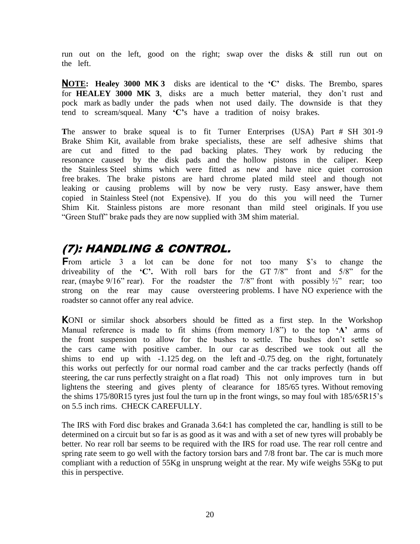run out on the left, good on the right; swap over the disks & still run out on the left.

N**OTE: Healey 3000 MK 3** disks are identical to the **'C'** disks. The Brembo, spares for **HEALEY 3000 MK 3**, disks are a much better material, they don't rust and pock mark as badly under the pads when not used daily. The downside is that they tend to scream/squeal. Many **'C'**s have a tradition of noisy brakes.

**T**he answer to brake squeal is to fit Turner Enterprises (USA) Part # SH 301-9 Brake Shim Kit, available from brake specialists, these are self adhesive shims that are cut and fitted to the pad backing plates. They work by reducing the resonance caused by the disk pads and the hollow pistons in the caliper. Keep the Stainless Steel shims which were fitted as new and have nice quiet corrosion free brakes. The brake pistons are hard chrome plated mild steel and though not leaking or causing problems will by now be very rusty. Easy answer, have them copied in Stainless Steel (not Expensive). If you do this you will need the Turner Shim Kit. Stainless pistons are more resonant than mild steel originals. If you use "Green Stuff" brake pads they are now supplied with 3M shim material.

# (7): HANDLING & CONTROL.

From article 3 a lot can be done for not too many \$'s to change the driveability of the **'C'**. With roll bars for the GT 7/8" front and 5/8" for the rear, (maybe  $9/16$ " rear). For the roadster the 7/8" front with possibly  $\frac{1}{2}$ " rear; too strong on the rear may cause oversteering problems. I have NO experience with the roadster so cannot offer any real advice.

KONI or similar shock absorbers should be fitted as a first step. In the Workshop Manual reference is made to fit shims (from memory 1/8") to the top **'A'** arms of the front suspension to allow for the bushes to settle. The bushes don't settle so the cars came with positive camber. In our car as described we took out all the shims to end up with -1.125 deg. on the left and -0.75 deg. on the right, fortunately this works out perfectly for our normal road camber and the car tracks perfectly (hands off steering, the car runs perfectly straight on a flat road) This not only improves turn in but lightens the steering and gives plenty of clearance for 185/65 tyres. Without removing the shims 175/80R15 tyres just foul the turn up in the front wings, so may foul with 185/65R15's on 5.5 inch rims. CHECK CAREFULLY.

The IRS with Ford disc brakes and Granada 3.64:1 has completed the car, handling is still to be determined on a circuit but so far is as good as it was and with a set of new tyres will probably be better. No rear roll bar seems to be required with the IRS for road use. The rear roll centre and spring rate seem to go well with the factory torsion bars and 7/8 front bar. The car is much more compliant with a reduction of 55Kg in unsprung weight at the rear. My wife weighs 55Kg to put this in perspective.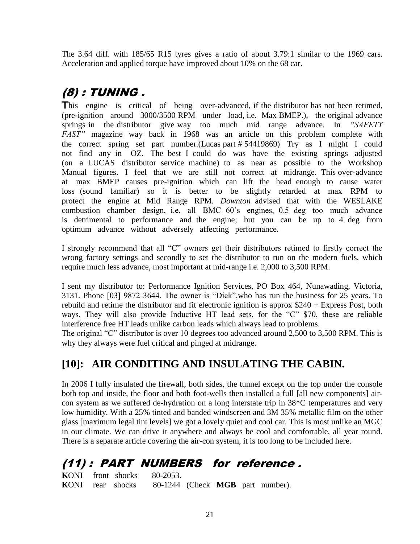The 3.64 diff. with 185/65 R15 tyres gives a ratio of about 3.79:1 similar to the 1969 cars. Acceleration and applied torque have improved about 10% on the 68 car.

# (8) : TUNING .

This engine is critical of being over-advanced, if the distributor has not been retimed, (pre-ignition around 3000/3500 RPM under load, i.e. Max BMEP.), the original advance springs in the distributor give way too much mid range advance. In *"SAFETY FAST"* magazine way back in 1968 was an article on this problem complete with the correct spring set part number.(Lucas part # 54419869) Try as I might I could not find any in OZ. The best I could do was have the existing springs adjusted (on a LUCAS distributor service machine) to as near as possible to the Workshop Manual figures. I feel that we are still not correct at midrange. This over-advance at max BMEP causes pre-ignition which can lift the head enough to cause water loss (sound familiar) so it is better to be slightly retarded at max RPM to protect the engine at Mid Range RPM. *Downton* advised that with the WESLAKE combustion chamber design, i.e. all BMC 60's engines, 0.5 deg too much advance is detrimental to performance and the engine; but you can be up to 4 deg from optimum advance without adversely affecting performance.

I strongly recommend that all "C" owners get their distributors retimed to firstly correct the wrong factory settings and secondly to set the distributor to run on the modern fuels, which require much less advance, most important at mid-range i.e. 2,000 to 3,500 RPM.

I sent my distributor to: Performance Ignition Services, PO Box 464, Nunawading, Victoria, 3131. Phone [03] 9872 3644. The owner is "Dick",who has run the business for 25 years. To rebuild and retime the distributor and fit electronic ignition is approx \$240 + Express Post, both ways. They will also provide Inductive HT lead sets, for the "C" \$70, these are reliable interference free HT leads unlike carbon leads which always lead to problems.

The original "C" distributor is over 10 degrees too advanced around 2,500 to 3,500 RPM. This is why they always were fuel critical and pinged at midrange.

### **[10]: AIR CONDITING AND INSULATING THE CABIN.**

In 2006 I fully insulated the firewall, both sides, the tunnel except on the top under the console both top and inside, the floor and both foot-wells then installed a full [all new components] aircon system as we suffered de-hydration on a long interstate trip in 38\*C temperatures and very low humidity. With a 25% tinted and banded windscreen and 3M 35% metallic film on the other glass [maximum legal tint levels] we got a lovely quiet and cool car. This is most unlike an MGC in our climate. We can drive it anywhere and always be cool and comfortable, all year round. There is a separate article covering the air-con system, it is too long to be included here.

# (11) : PART NUMBERS for reference .

**K**ONI front shocks 80-2053. **K**ONI rear shocks 80-1244 (Check **MGB** part number).